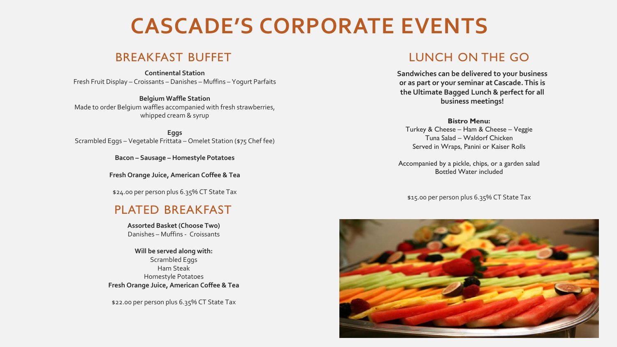# **CASCADE'S CORPORATE EVENTS**

## BREAKFAST BUFFET

**Continental Station** Fresh Fruit Display – Croissants – Danishes – Muffins – Yogurt Parfaits

**Belgium Waffle Station** Made to order Belgium waffles accompanied with fresh strawberries, whipped cream & syrup

**Eggs** Scrambled Eggs – Vegetable Frittata – Omelet Station (\$75 Chef fee)

**Bacon – Sausage – Homestyle Potatoes** 

**Fresh Orange Juice, American Coffee & Tea**

\$24.00 per person plus 6.35% CT State Tax

## PLATED BREAKFAST

**Assorted Basket (Choose Two)** Danishes – Muffins - Croissants

**Will be served along with:**  Scrambled Eggs Ham Steak Homestyle Potatoes **Fresh Orange Juice, American Coffee & Tea**

\$22.00 per person plus 6.35% CT State Tax

## LUNCH ON THE GO

**Sandwiches can be delivered to your business or as part or your seminar at Cascade. This is the Ultimate Bagged Lunch & perfect for all business meetings!**

**Bistro Menu:** Turkey & Cheese – Ham & Cheese – Veggie Tuna Salad – Waldorf Chicken Served in Wraps, Panini or Kaiser Rolls

Accompanied by a pickle, chips, or a garden salad Bottled Water included

\$15.00 per person plus 6.35% CT State Tax

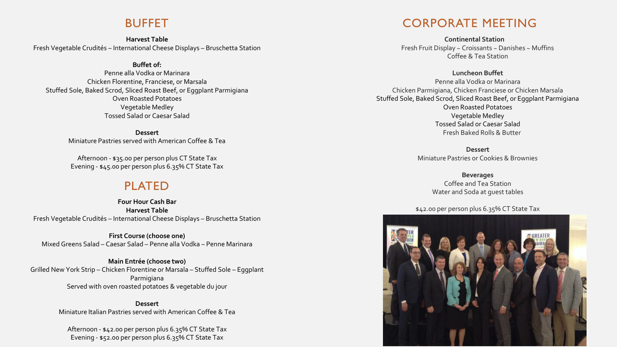#### BUFFET

**Harvest Table** Fresh Vegetable Crudités – International Cheese Displays – Bruschetta Station

#### **Buffet of:**

Penne alla Vodka or Marinara Chicken Florentine, Franciese, or Marsala Stuffed Sole, Baked Scrod, Sliced Roast Beef, or Eggplant Parmigiana Oven Roasted Potatoes Vegetable Medley Tossed Salad or Caesar Salad

> **Dessert** Miniature Pastries served with American Coffee & Tea

Afternoon - \$35.00 per person plus CT State Tax Evening - \$45.00 per person plus 6.35% CT State Tax

### PLATED

**Four Hour Cash Bar Harvest Table** Fresh Vegetable Crudités – International Cheese Displays – Bruschetta Station

**First Course (choose one)** Mixed Greens Salad – Caesar Salad – Penne alla Vodka – Penne Marinara

**Main Entrée (choose two)** Grilled New York Strip – Chicken Florentine or Marsala – Stuffed Sole – Eggplant Parmigiana Served with oven roasted potatoes & vegetable du jour

> **Dessert** Miniature Italian Pastries served with American Coffee & Tea

Afternoon - \$42.00 per person plus 6.35% CT State Tax Evening - \$52.00 per person plus 6.35% CT State Tax

## CORPORATE MEETING

**Continental Station** Fresh Fruit Display ~ Croissants ~ Danishes ~ Muffins Coffee & Tea Station

#### **Luncheon Buffet**

Penne alla Vodka or Marinara Chicken Parmigiana, Chicken Franciese or Chicken Marsala Stuffed Sole, Baked Scrod, Sliced Roast Beef, or Eggplant Parmigiana Oven Roasted Potatoes Vegetable Medley Tossed Salad or Caesar Salad Fresh Baked Rolls & Butter

> **Dessert** Miniature Pastries or Cookies & Brownies

> > **Beverages** Coffee and Tea Station Water and Soda at guest tables

#### \$42.00 per person plus 6.35% CT State Tax